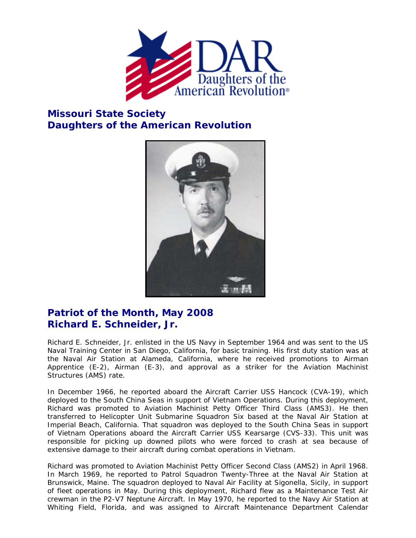

## **Missouri State Society Daughters of the American Revolution**



## **Patriot of the Month, May 2008 Richard E. Schneider, Jr.**

Richard E. Schneider, Jr. enlisted in the US Navy in September 1964 and was sent to the US Naval Training Center in San Diego, California, for basic training. His first duty station was at the Naval Air Station at Alameda, California, where he received promotions to Airman Apprentice (E-2), Airman (E-3), and approval as a striker for the Aviation Machinist Structures (AMS) rate.

In December 1966, he reported aboard the Aircraft Carrier USS Hancock (CVA-19), which deployed to the South China Seas in support of Vietnam Operations. During this deployment, Richard was promoted to Aviation Machinist Petty Officer Third Class (AMS3). He then transferred to Helicopter Unit Submarine Squadron Six based at the Naval Air Station at Imperial Beach, California. That squadron was deployed to the South China Seas in support of Vietnam Operations aboard the Aircraft Carrier USS Kearsarge (CVS-33). This unit was responsible for picking up downed pilots who were forced to crash at sea because of extensive damage to their aircraft during combat operations in Vietnam.

Richard was promoted to Aviation Machinist Petty Officer Second Class (AMS2) in April 1968. In March 1969, he reported to Patrol Squadron Twenty-Three at the Naval Air Station at Brunswick, Maine. The squadron deployed to Naval Air Facility at Sigonella, Sicily, in support of fleet operations in May. During this deployment, Richard flew as a Maintenance Test Air crewman in the P2-V7 Neptune Aircraft. In May 1970, he reported to the Navy Air Station at Whiting Field, Florida, and was assigned to Aircraft Maintenance Department Calendar